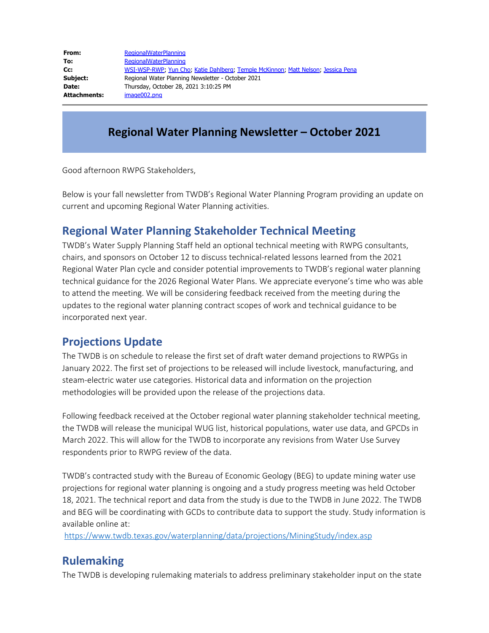| From:        | <b>RegionalWaterPlanning</b>                                                     |
|--------------|----------------------------------------------------------------------------------|
| To:          | <b>RegionalWaterPlanning</b>                                                     |
| cc:          | WSI-WSP-RWP, Yun Cho, Katie Dahlberg, Temple McKinnon, Matt Nelson, Jessica Pena |
| Subject:     | Regional Water Planning Newsletter - October 2021                                |
| Date:        | Thursday, October 28, 2021 3:10:25 PM                                            |
| Attachments: | image002.png                                                                     |

#### **Regional Water Planning Newsletter – October 2021**

Good afternoon RWPG Stakeholders,

Below is your fall newsletter from TWDB's Regional Water Planning Program providing an update on current and upcoming Regional Water Planning activities.

#### **Regional Water Planning Stakeholder Technical Meeting**

TWDB's Water Supply Planning Staff held an optional technical meeting with RWPG consultants, chairs, and sponsors on October 12 to discuss technical-related lessons learned from the 2021 Regional Water Plan cycle and consider potential improvements to TWDB's regional water planning technical guidance for the 2026 Regional Water Plans. We appreciate everyone's time who was able to attend the meeting. We will be considering feedback received from the meeting during the updates to the regional water planning contract scopes of work and technical guidance to be incorporated next year.

#### **Projections Update**

The TWDB is on schedule to release the first set of draft water demand projections to RWPGs in January 2022. The first set of projections to be released will include livestock, manufacturing, and steam-electric water use categories. Historical data and information on the projection methodologies will be provided upon the release of the projections data.

Following feedback received at the October regional water planning stakeholder technical meeting, the TWDB will release the municipal WUG list, historical populations, water use data, and GPCDs in March 2022. This will allow for the TWDB to incorporate any revisions from Water Use Survey respondents prior to RWPG review of the data.

TWDB's contracted study with the Bureau of Economic Geology (BEG) to update mining water use projections for regional water planning is ongoing and a study progress meeting was held October 18, 2021. The technical report and data from the study is due to the TWDB in June 2022. The TWDB and BEG will be coordinating with GCDs to contribute data to support the study. Study information is available online at:

<https://www.twdb.texas.gov/waterplanning/data/projections/MiningStudy/index.asp>

#### **Rulemaking**

The TWDB is developing rulemaking materials to address preliminary stakeholder input on the state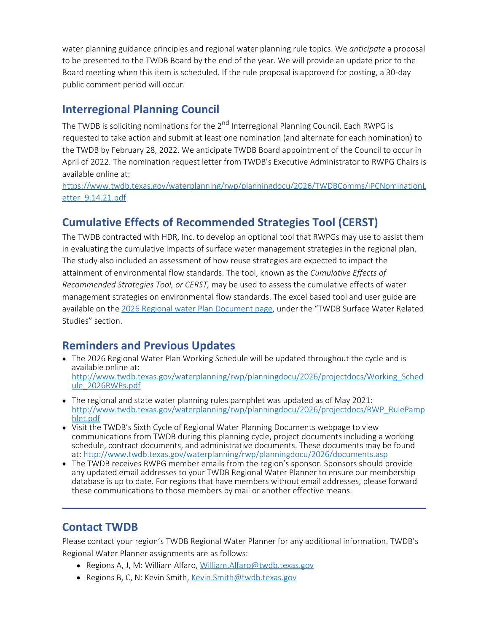water planning guidance principles and regional water planning rule topics. We *anticipate* a proposal to be presented to the TWDB Board by the end of the year. We will provide an update prior to the Board meeting when this item is scheduled. If the rule proposal is approved for posting, a 30-day public comment period will occur.

# **Interregional Planning Council**

The TWDB is soliciting nominations for the 2<sup>nd</sup> Interregional Planning Council. Each RWPG is requested to take action and submit at least one nomination (and alternate for each nomination) to the TWDB by February 28, 2022. We anticipate TWDB Board appointment of the Council to occur in April of 2022. The nomination request letter from TWDB's Executive Administrator to RWPG Chairs is available online at:

[https://www.twdb.texas.gov/waterplanning/rwp/planningdocu/2026/TWDBComms/IPCNominationL](https://www.twdb.texas.gov/waterplanning/rwp/planningdocu/2026/TWDBComms/IPCNominationLetter_9.14.21.pdf) [etter\\_9.14.21.pdf](https://www.twdb.texas.gov/waterplanning/rwp/planningdocu/2026/TWDBComms/IPCNominationLetter_9.14.21.pdf)

# **Cumulative Effects of Recommended Strategies Tool (CERST)**

The TWDB contracted with HDR, Inc. to develop an optional tool that RWPGs may use to assist them in evaluating the cumulative impacts of surface water management strategies in the regional plan. The study also included an assessment of how reuse strategies are expected to impact the attainment of environmental flow standards. The tool, known as the *Cumulative Effects of Recommended Strategies Tool, or CERST,* may be used to assess the cumulative effects of water management strategies on environmental flow standards. The excel based tool and user guide are available on the [2026 Regional water Plan Document page](https://www.twdb.texas.gov/waterplanning/rwp/planningdocu/2026/documents.asp), under the "TWDB Surface Water Related Studies" section.

# **Reminders and Previous Updates**

- The 2026 Regional Water Plan Working Schedule will be updated throughout the cycle and is available online at: [http://www.twdb.texas.gov/waterplanning/rwp/planningdocu/2026/projectdocs/Working\\_Sched](http://www.twdb.texas.gov/waterplanning/rwp/planningdocu/2026/projectdocs/Working_Schedule_2026RWPs.pdf) [ule\\_2026RWPs.pdf](http://www.twdb.texas.gov/waterplanning/rwp/planningdocu/2026/projectdocs/Working_Schedule_2026RWPs.pdf)
- The regional and state water planning rules pamphlet was updated as of May 2021: [http://www.twdb.texas.gov/waterplanning/rwp/planningdocu/2026/projectdocs/RWP\\_RulePamp](http://www.twdb.texas.gov/waterplanning/rwp/planningdocu/2026/projectdocs/RWP_RulePamphlet.pdf) [hlet.pdf](http://www.twdb.texas.gov/waterplanning/rwp/planningdocu/2026/projectdocs/RWP_RulePamphlet.pdf)
- Visit the TWDB's Sixth Cycle of Regional Water Planning Documents webpage to view communications from TWDB during this planning cycle, project documents including a working schedule, contract documents, and administrative documents. These documents may be found at:<http://www.twdb.texas.gov/waterplanning/rwp/planningdocu/2026/documents.asp>
- The TWDB receives RWPG member emails from the region's sponsor. Sponsors should provide any updated email addresses to your TWDB Regional Water Planner to ensure our membership database is up to date. For regions that have members without email addresses, please forward these communications to those members by mail or another effective means.

# **Contact TWDB**

Please contact your region's TWDB Regional Water Planner for any additional information. TWDB's Regional Water Planner assignments are as follows:

- Regions A, J, M: William Alfaro, [William.Alfaro@twdb.texas.gov](mailto:William.Alfaro@twdb.texas.gov)
- Regions B, C, N: Kevin Smith, [Kevin.Smith@twdb.texas.gov](mailto:Kevin.Smith@twdb.texas.gov)